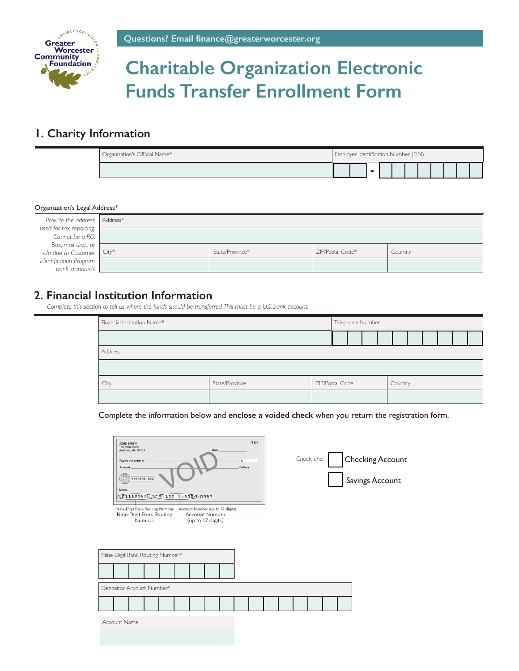

# **Charitable Organization Electronic Funds Transfer Enrollment Form**

#### **1. Charity Information**

| Organization's Official Name* | Employer Identification Number (EIN) |  |                          |  |  |  |  |  |  |  |  |
|-------------------------------|--------------------------------------|--|--------------------------|--|--|--|--|--|--|--|--|
|                               |                                      |  | $\overline{\phantom{a}}$ |  |  |  |  |  |  |  |  |

#### Organization's Legal Address\*

| Provide the address   Address*                  |                 |                  |         |
|-------------------------------------------------|-----------------|------------------|---------|
| used for tax reporting.                         |                 |                  |         |
| Cannot be a P.O.                                |                 |                  |         |
| Box, mail drop, or<br>c/o due to Customer City* |                 |                  |         |
|                                                 | State/Province* | ZIP/Postal Code* | Country |
| Identification Program                          |                 |                  |         |
| bank standards                                  |                 |                  |         |

#### **2. Financial Institution Information**

*Complete this section to tell us where the funds should be transferred. This must be a U.S. bank account.*

| Financial Institution Name*               |  |  | Telephone Number |  |  |  |         |  |  |  |  |  |  |  |  |  |  |  |
|-------------------------------------------|--|--|------------------|--|--|--|---------|--|--|--|--|--|--|--|--|--|--|--|
|                                           |  |  |                  |  |  |  |         |  |  |  |  |  |  |  |  |  |  |  |
| Address                                   |  |  |                  |  |  |  |         |  |  |  |  |  |  |  |  |  |  |  |
|                                           |  |  |                  |  |  |  |         |  |  |  |  |  |  |  |  |  |  |  |
| State/Province<br>ZIP/Postal Code<br>City |  |  |                  |  |  |  | Country |  |  |  |  |  |  |  |  |  |  |  |
|                                           |  |  |                  |  |  |  |         |  |  |  |  |  |  |  |  |  |  |  |

Complete the information below and **enclose a voided check** when you return the registration form.

| 987<br><b>JOHN SMITH</b><br>180 Main Street<br>Date<br>Anytown, MA 01234<br>s<br>Pay to the order of<br><b>Dollars</b><br>Amount<br>ANYBANK USA<br>Memo<br>○ 011123456 ○ 94100 14500 0987<br>- Nine-Digit Bank Routing Number<br>Account Number (up to 17 digits)<br><b>Account Number</b><br>Nine-Digit Bank Routing<br>Number<br>(up to 17 digits) | Check one:<br><b>Checking Account</b><br>Savings Account |
|------------------------------------------------------------------------------------------------------------------------------------------------------------------------------------------------------------------------------------------------------------------------------------------------------------------------------------------------------|----------------------------------------------------------|
| Nine-Digit Bank Routing Number*                                                                                                                                                                                                                                                                                                                      |                                                          |
|                                                                                                                                                                                                                                                                                                                                                      |                                                          |
| Depositor Account Number*                                                                                                                                                                                                                                                                                                                            |                                                          |
|                                                                                                                                                                                                                                                                                                                                                      |                                                          |
| Account Name                                                                                                                                                                                                                                                                                                                                         |                                                          |